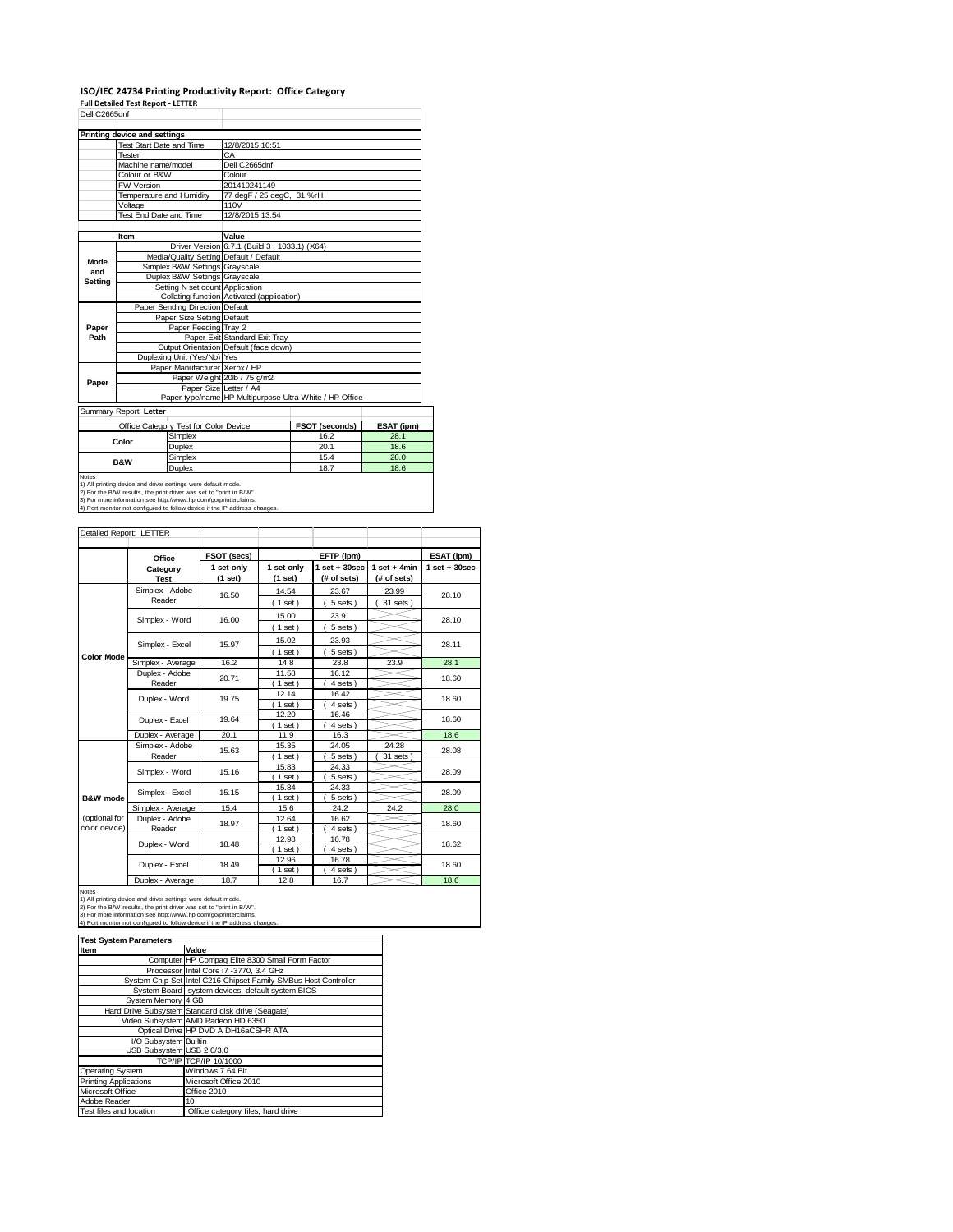### **ISO/IEC 24734 Printing Productivity Report: Office Category Full Detailed Test Report ‐ LETTER**

| 12/8/2015 10:51                                         |            |  |  |  |
|---------------------------------------------------------|------------|--|--|--|
|                                                         |            |  |  |  |
|                                                         |            |  |  |  |
|                                                         |            |  |  |  |
|                                                         |            |  |  |  |
| 77 degF / 25 degC, 31 %rH                               |            |  |  |  |
| Temperature and Humidity<br>110V                        |            |  |  |  |
| 12/8/2015 13:54                                         |            |  |  |  |
|                                                         |            |  |  |  |
|                                                         |            |  |  |  |
| Driver Version 6.7.1 (Build 3: 1033.1) (X64)            |            |  |  |  |
| Media/Quality Setting Default / Default                 |            |  |  |  |
|                                                         |            |  |  |  |
|                                                         |            |  |  |  |
|                                                         |            |  |  |  |
| Collating function Activated (application)              |            |  |  |  |
|                                                         |            |  |  |  |
|                                                         |            |  |  |  |
|                                                         |            |  |  |  |
| Paper Exit Standard Exit Tray                           |            |  |  |  |
| Output Orientation Default (face down)                  |            |  |  |  |
|                                                         |            |  |  |  |
|                                                         |            |  |  |  |
|                                                         |            |  |  |  |
|                                                         |            |  |  |  |
| Paper type/name HP Multipurpose Ultra White / HP Office |            |  |  |  |
|                                                         |            |  |  |  |
| <b>FSOT (seconds)</b>                                   | ESAT (ipm) |  |  |  |
| 16.2                                                    | 28.1       |  |  |  |
| 20.1                                                    | 18.6       |  |  |  |
| 15.4                                                    | 28.0       |  |  |  |
| 18.7                                                    | 18.6       |  |  |  |
|                                                         |            |  |  |  |

1) All printing device and driver settings were default mode.<br>2) For the B/W results, the print driver was set to "print in B/W".<br>3) For more information see http://www.hp.com/go/printerclaims.<br>4) Port monitor not configur

| Detailed Report: LETTER        |                           |                       |                         |                                  |                               |                   |
|--------------------------------|---------------------------|-----------------------|-------------------------|----------------------------------|-------------------------------|-------------------|
|                                | Office                    | FSOT (secs)           |                         | EFTP (ipm)                       |                               | ESAT (ipm)        |
|                                | Category<br><b>Test</b>   | 1 set only<br>(1 set) | 1 set only<br>$(1$ set) | $1$ set $+30$ sec<br>(# of sets) | $1$ set + 4min<br>(# of sets) | $1$ set $+30$ sec |
|                                | Simplex - Adobe<br>Reader | 16.50                 | 14.54<br>(1 set)        | 23.67<br>5 sets)                 | 23.99<br>31 sets              | 28.10             |
|                                | Simplex - Word            | 16.00                 | 15.00<br>$(1$ set)      | 23.91<br>5 sets)                 |                               | 28.10             |
|                                | Simplex - Excel           | 15.97                 | 15.02<br>(1 set)        | 23.93<br>5 sets)                 |                               | 28.11             |
| <b>Color Mode</b>              | Simplex - Average         | 16.2                  | 14.8                    | 23.8                             | 23.9                          | 28.1              |
|                                | Duplex - Adobe<br>Reader  | 20.71                 | 11.58<br>$1$ set $)$    | 16.12<br>4 sets)                 |                               | 18.60             |
|                                | Duplex - Word             | 19.75                 | 12.14<br>$1$ set)       | 16.42<br>4 sets)                 |                               | 18.60             |
|                                | Duplex - Excel            | 19.64                 | 12.20<br>$1$ set)       | 16.46<br>4 sets)                 |                               | 18.60             |
|                                | Duplex - Average          | 20.1                  | 11.9                    | 16.3                             |                               | 18.6              |
|                                | Simplex - Adobe<br>Reader | 15.63                 | 15.35<br>$1$ set)       | 24.05<br>5 sets)                 | 24.28<br>31 sets              | 28.08             |
|                                | Simplex - Word            | 15.16                 | 15.83<br>$(1$ set)      | 24.33<br>5 sets)                 |                               | 28.09             |
| B&W mode                       | Simplex - Excel           | 15.15                 | 15.84<br>$1$ set)       | 24.33<br>5 sets)                 |                               | 28.09             |
|                                | Simplex - Average         | 15.4                  | 15.6                    | 24.2                             | 24.2                          | 28.0              |
| (optional for<br>color device) | Duplex - Adobe<br>Reader  | 18.97                 | 12.64<br>$1$ set)       | 16.62<br>4 sets)                 |                               | 18.60             |
|                                | Duplex - Word             | 18.48                 | 12.98<br>$1$ set)       | 16.78<br>4 sets)                 |                               | 18.62             |
|                                | Duplex - Excel            | 18.49                 | 12.96<br>$1$ set)       | 16.78<br>4 sets                  |                               | 18.60             |
|                                | Duplex - Average          | 18.7                  | 12.8                    | 16.7                             |                               | 18.6              |

Notes<br>1) All printing device and driver settings were default mode.<br>2) For the B/W results, the print driver was set to "print in B/W".<br>3) For more information see http://www.hp.com/go/printerclaims.<br>4) Port monitor not co

| <b>Test System Parameters</b> |                                                                 |
|-------------------------------|-----------------------------------------------------------------|
| Item                          | Value                                                           |
|                               | Computer HP Compaq Elite 8300 Small Form Factor                 |
|                               | Processor Intel Core i7 -3770, 3.4 GHz                          |
|                               | System Chip Set Intel C216 Chipset Family SMBus Host Controller |
|                               | System Board system devices, default system BIOS                |
| System Memory 4 GB            |                                                                 |
|                               | Hard Drive Subsystem Standard disk drive (Seagate)              |
|                               | Video Subsystem AMD Radeon HD 6350                              |
|                               | Optical Drive HP DVD A DH16aCSHR ATA                            |
| I/O Subsystem Builtin         |                                                                 |
| USB Subsystem USB 2.0/3.0     |                                                                 |
|                               | TCP/IP TCP/IP 10/1000                                           |
| <b>Operating System</b>       | Windows 7 64 Bit                                                |
| <b>Printing Applications</b>  | Microsoft Office 2010                                           |
| Microsoft Office              | Office 2010                                                     |
| Adobe Reader                  | 10                                                              |
| Test files and location       | Office category files, hard drive                               |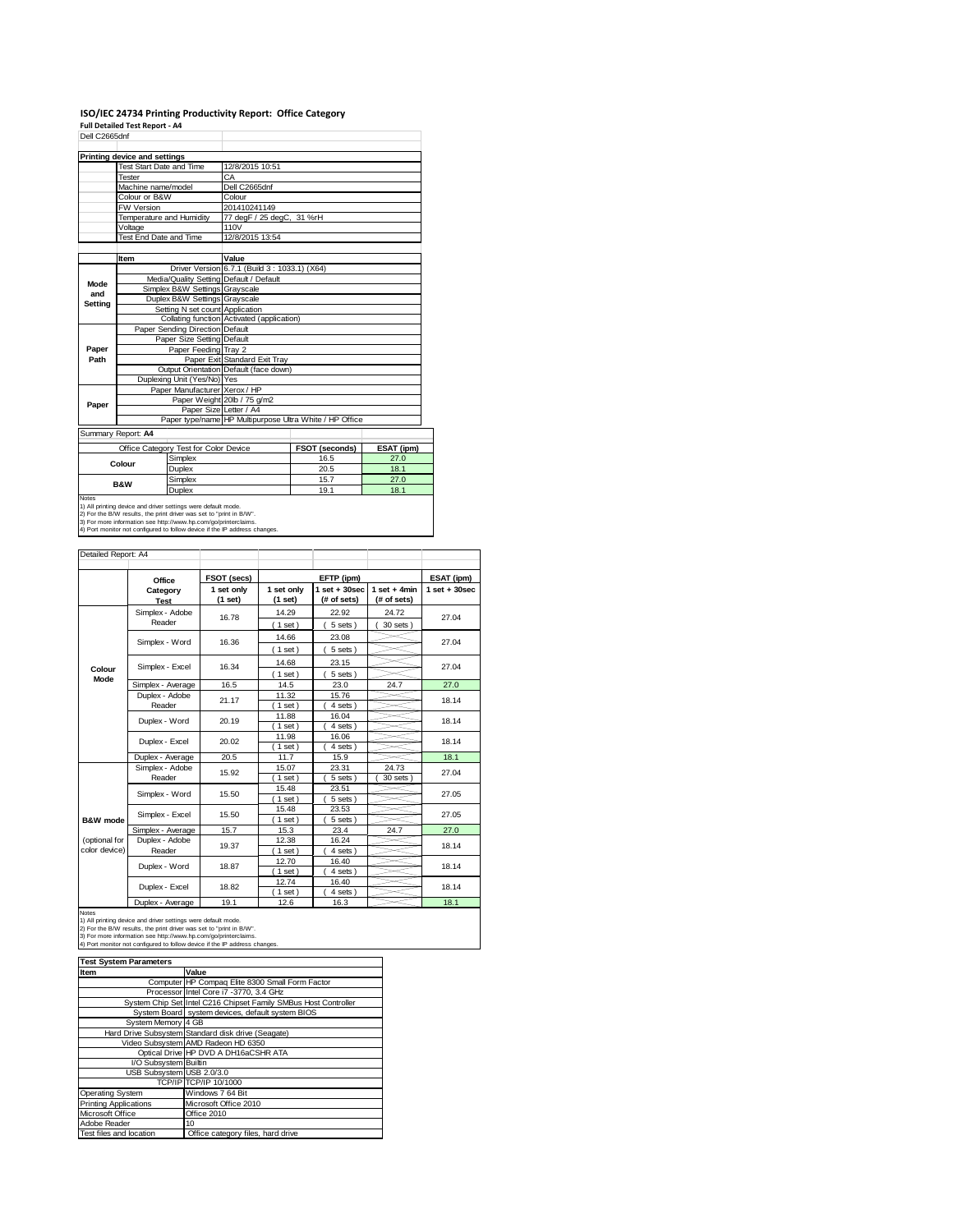# **ISO/IEC 24734 Printing Productivity Report: Office Category Full Detailed Test Report ‐ A4** Dell C2665dnf

|         | Printing device and settings    |                                                                                                                                                                                                         |                                                                            |                                                         |            |
|---------|---------------------------------|---------------------------------------------------------------------------------------------------------------------------------------------------------------------------------------------------------|----------------------------------------------------------------------------|---------------------------------------------------------|------------|
|         | <b>Test Start Date and Time</b> |                                                                                                                                                                                                         | 12/8/2015 10:51                                                            |                                                         |            |
|         | Tester                          |                                                                                                                                                                                                         | CA                                                                         |                                                         |            |
|         | Machine name/model              |                                                                                                                                                                                                         | Dell C2665dnf                                                              |                                                         |            |
|         | Colour or B&W                   |                                                                                                                                                                                                         | Colour                                                                     |                                                         |            |
|         | <b>FW Version</b>               |                                                                                                                                                                                                         | 201410241149                                                               |                                                         |            |
|         | Temperature and Humidity        |                                                                                                                                                                                                         | 77 degF / 25 degC, 31 %rH                                                  |                                                         |            |
|         | Voltage                         |                                                                                                                                                                                                         | 110V                                                                       |                                                         |            |
|         | Test End Date and Time          |                                                                                                                                                                                                         | 12/8/2015 13:54                                                            |                                                         |            |
|         |                                 |                                                                                                                                                                                                         |                                                                            |                                                         |            |
|         | Item                            |                                                                                                                                                                                                         | Value                                                                      |                                                         |            |
|         |                                 |                                                                                                                                                                                                         | Driver Version 6.7.1 (Build 3: 1033.1) (X64)                               |                                                         |            |
|         |                                 |                                                                                                                                                                                                         | Media/Quality Setting Default / Default                                    |                                                         |            |
| Mode    |                                 | Simplex B&W Settings Grayscale                                                                                                                                                                          |                                                                            |                                                         |            |
| and     |                                 | Duplex B&W Settings Grayscale                                                                                                                                                                           |                                                                            |                                                         |            |
| Setting |                                 | Setting N set count Application                                                                                                                                                                         |                                                                            |                                                         |            |
|         |                                 |                                                                                                                                                                                                         | Collating function Activated (application)                                 |                                                         |            |
|         |                                 | Paper Sending Direction Default                                                                                                                                                                         |                                                                            |                                                         |            |
|         |                                 | Paper Size Setting Default                                                                                                                                                                              |                                                                            |                                                         |            |
| Paper   |                                 | Paper Feeding Tray 2                                                                                                                                                                                    |                                                                            |                                                         |            |
| Path    |                                 |                                                                                                                                                                                                         | Paper Exit Standard Exit Trav                                              |                                                         |            |
|         |                                 |                                                                                                                                                                                                         | Output Orientation Default (face down)                                     |                                                         |            |
|         |                                 | Duplexing Unit (Yes/No) Yes                                                                                                                                                                             |                                                                            |                                                         |            |
|         |                                 | Paper Manufacturer Xerox / HP                                                                                                                                                                           |                                                                            |                                                         |            |
| Paper   |                                 |                                                                                                                                                                                                         | Paper Weight 20lb / 75 g/m2                                                |                                                         |            |
|         |                                 | Paper Size Letter / A4                                                                                                                                                                                  |                                                                            |                                                         |            |
|         |                                 |                                                                                                                                                                                                         |                                                                            | Paper type/name HP Multipurpose Ultra White / HP Office |            |
|         | Summary Report: A4              |                                                                                                                                                                                                         |                                                                            |                                                         |            |
|         |                                 | Office Category Test for Color Device                                                                                                                                                                   |                                                                            | FSOT (seconds)                                          | ESAT (ipm) |
|         | Colour                          | Simplex                                                                                                                                                                                                 |                                                                            | 16.5                                                    | 27.0       |
|         |                                 | Duplex                                                                                                                                                                                                  |                                                                            | 20.5                                                    | 18.1       |
|         | <b>B&amp;W</b>                  | Simplex                                                                                                                                                                                                 |                                                                            | 15.7                                                    | 27.0       |
|         |                                 | Duplex                                                                                                                                                                                                  |                                                                            | 19.1                                                    | 18.1       |
| Notes   |                                 | 1) All printing device and driver settings were default mode.<br>2) For the B/W results, the print driver was set to "print in B/W".<br>3) For more information see http://www.hp.com/go/printerclaims. | 4) Port monitor not configured to follow device if the IP address changes. |                                                         |            |

 $\overline{\phantom{a}}$ 

| Detailed Report: A4 |                          |                       |                       |                                  |                               |                   |  |
|---------------------|--------------------------|-----------------------|-----------------------|----------------------------------|-------------------------------|-------------------|--|
|                     | Office                   | FSOT (secs)           |                       | EFTP (ipm)                       |                               | ESAT (ipm)        |  |
|                     | Category<br><b>Test</b>  | 1 set only<br>(1 set) | 1 set only<br>(1 set) | $1$ set $+30$ sec<br>(# of sets) | $1$ set + 4min<br>(# of sets) | $1$ set $+30$ sec |  |
|                     | Simplex - Adobe          | 16.78                 | 14.29                 | 22.92                            | 24.72                         | 27.04             |  |
|                     | Reader                   |                       | $1$ set)              | $5 sets$ )                       | 30 sets                       |                   |  |
|                     | Simplex - Word           | 16.36                 | 14.66                 | 23.08                            |                               | 27.04             |  |
|                     |                          |                       | $1$ set)              | 5 sets)                          |                               |                   |  |
| Colour<br>Mode      | Simplex - Excel          | 16.34                 | 14.68                 | 23.15                            |                               | 27.04             |  |
|                     |                          |                       | $1$ set)              | 5 sets)                          |                               |                   |  |
|                     | Simplex - Average        | 16.5                  | 14.5                  | 23.0                             | 24.7                          | 27.0              |  |
|                     | Duplex - Adobe           | 21.17                 | 11.32                 | 15.76                            |                               | 18.14<br>18.14    |  |
|                     | Reader                   |                       | $1$ set)              | 4 sets)                          |                               |                   |  |
|                     | Duplex - Word            | 20.19                 | 11.88                 | 16.04                            |                               |                   |  |
|                     |                          |                       | 1 set                 | 4 sets)                          |                               |                   |  |
|                     | Duplex - Excel           | 20.02                 | 11.98                 | 16.06                            |                               | 18.14             |  |
|                     |                          |                       | $1$ set)              | 4 sets)                          |                               |                   |  |
|                     | Duplex - Average         | 20.5                  | 11.7                  | 15.9                             |                               | 18.1              |  |
|                     | Simplex - Adobe          | 15.92                 | 15.07                 | 23.31                            | 24.73                         | 27.04<br>27.05    |  |
|                     | Reader                   |                       | $1$ set)              | 5 sets                           | 30 sets                       |                   |  |
|                     | Simplex - Word           | 15.50                 | 15.48                 | 23.51                            |                               |                   |  |
|                     |                          |                       | 1 set                 | 5 sets)                          |                               |                   |  |
|                     | Simplex - Excel          | 15.50                 | 15.48                 | 23.53                            |                               | 27.05             |  |
| B&W mode            |                          | 15.7                  | $1$ set)<br>15.3      | 5 sets)<br>23.4                  |                               | 27.0              |  |
| (optional for       | Simplex - Average        |                       | 12.38                 | 16.24                            | 24.7                          |                   |  |
| color device)       | Duplex - Adobe<br>Reader | 19.37                 | $1$ set)              | 4 sets)                          |                               | 18.14             |  |
|                     |                          |                       | 12.70                 | 16.40                            |                               |                   |  |
|                     | Duplex - Word            | 18.87                 | $1$ set)              | 4 sets)                          |                               | 18.14             |  |
|                     |                          |                       | 12.74                 | 16.40                            |                               |                   |  |
|                     | Duplex - Excel           | 18.82                 | 1 set                 | 4 sets)                          |                               | 18.14             |  |
|                     | Duplex - Average         | 19.1                  | 12.6                  | 16.3                             |                               | 18.1              |  |

Notes<br>1) All printing device and driver settings were default mode.<br>2) For the B/W results, the print driver was set to "print in B/W".<br>3) For more information see http://www.hp.com/go/printerclaims.<br>4) Port monitor not co

| <b>Test System Parameters</b> |                                                                 |  |  |  |
|-------------------------------|-----------------------------------------------------------------|--|--|--|
| Item                          | Value                                                           |  |  |  |
|                               | Computer HP Compaq Elite 8300 Small Form Factor                 |  |  |  |
|                               | Processor Intel Core i7 -3770, 3.4 GHz                          |  |  |  |
|                               | System Chip Set Intel C216 Chipset Family SMBus Host Controller |  |  |  |
|                               | System Board system devices, default system BIOS                |  |  |  |
| System Memory 4 GB            |                                                                 |  |  |  |
|                               | Hard Drive Subsystem Standard disk drive (Seagate)              |  |  |  |
|                               | Video Subsystem AMD Radeon HD 6350                              |  |  |  |
|                               | Optical Drive HP DVD A DH16aCSHR ATA                            |  |  |  |
| I/O Subsystem Builtin         |                                                                 |  |  |  |
| USB Subsystem USB 2.0/3.0     |                                                                 |  |  |  |
|                               | TCP/IPITCP/IP 10/1000                                           |  |  |  |
| <b>Operating System</b>       | Windows 7 64 Bit                                                |  |  |  |
| <b>Printing Applications</b>  | Microsoft Office 2010                                           |  |  |  |
| Microsoft Office              | Office 2010                                                     |  |  |  |
| Adobe Reader                  | 10                                                              |  |  |  |
| Test files and location       | Office category files, hard drive                               |  |  |  |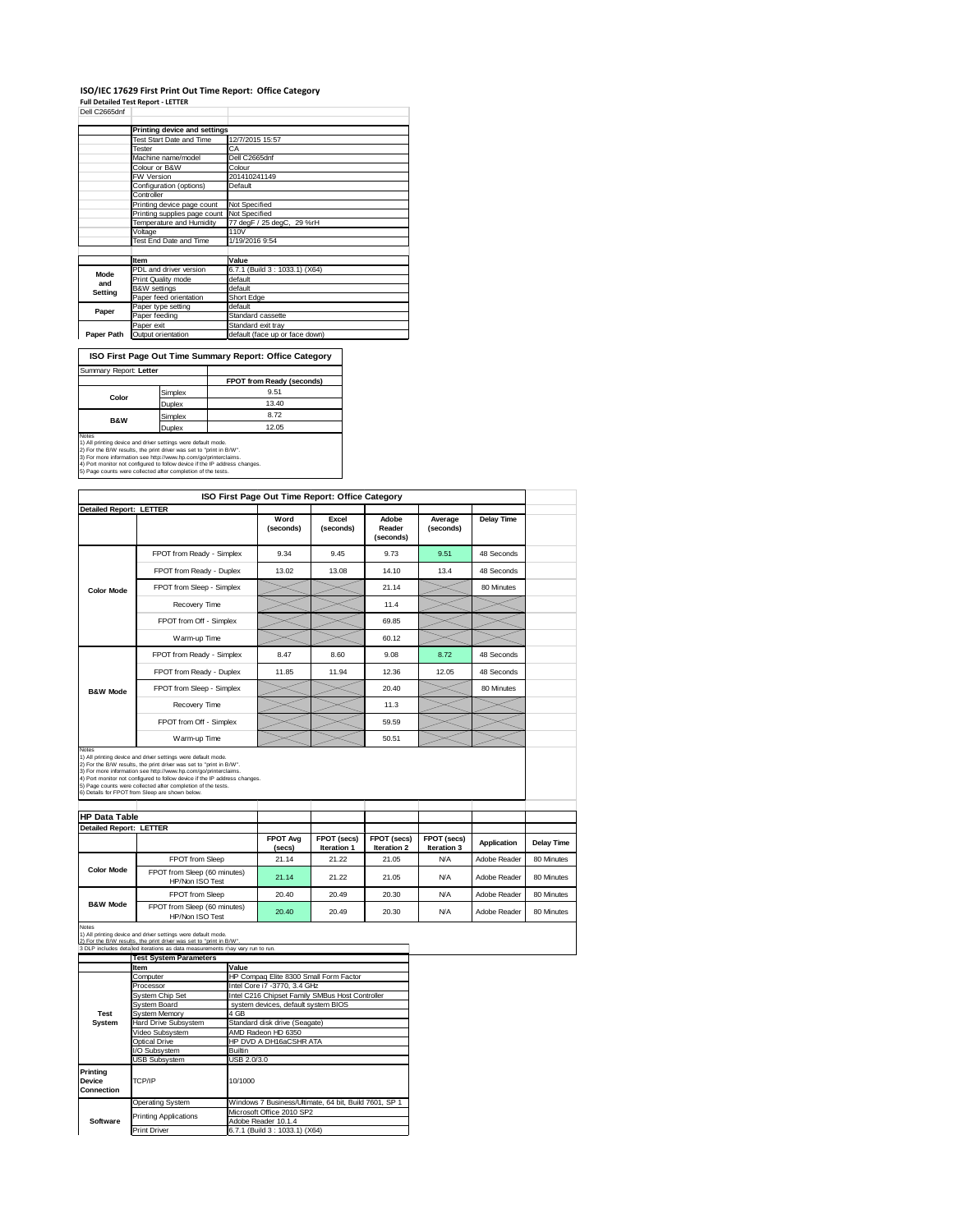### **ISO/IEC 17629 First Print Out Time Report: Office Category**

**Full Detailed Test Report ‐ LETTER** Dell C2665dnf

|            | Printing device and settings    |                                |  |  |  |
|------------|---------------------------------|--------------------------------|--|--|--|
|            | <b>Test Start Date and Time</b> | 12/7/2015 15:57                |  |  |  |
|            | Tester                          | CA                             |  |  |  |
|            | Machine name/model              | Dell C2665dnf                  |  |  |  |
|            | Colour or B&W                   | Colour                         |  |  |  |
|            | FW Version                      | 201410241149                   |  |  |  |
|            | Configuration (options)         | Default                        |  |  |  |
|            | Controller                      |                                |  |  |  |
|            | Printing device page count      | Not Specified                  |  |  |  |
|            | Printing supplies page count    | Not Specified                  |  |  |  |
|            | Temperature and Humidity        | 77 degF / 25 degC, 29 %rH      |  |  |  |
|            | Voltage                         | 110V                           |  |  |  |
|            | Test End Date and Time          | 1/19/2016 9:54                 |  |  |  |
|            |                                 |                                |  |  |  |
|            | Item                            | Value                          |  |  |  |
| Mode       | PDL and driver version          | 6.7.1 (Build 3: 1033.1) (X64)  |  |  |  |
| and        | Print Quality mode              | default                        |  |  |  |
| Setting    | <b>B&amp;W</b> settings         | default                        |  |  |  |
|            | Paper feed orientation          | Short Edge                     |  |  |  |
| Paper      | Paper type setting              | default                        |  |  |  |
|            | Paper feeding                   | Standard cassette              |  |  |  |
|            | Paper exit                      | Standard exit tray             |  |  |  |
| Paper Path | Output orientation              | default (face up or face down) |  |  |  |

**FPOT from Ready (seconds)** Simplex 9.51<br>Duplex 13.40 Duplex 13.40 Simplex 8.72<br>Duplex 12.05 **ISO First Page Out Time Summary Report: Office Category** Summary Report: **Letter Color B&W**

Notes<br>1) All printing device and driver settings were default mode.<br>2) For the B:W results, the print driver was set to "print in B/W".<br>3) For more information see http://www.bp.com/go/printenclaims.<br>4) Port monitor not co

|                                |                                                                                                                                                                                                                                                |             |                                        | ISO First Page Out Time Report: Office Category |                              |                            |                    |                   |
|--------------------------------|------------------------------------------------------------------------------------------------------------------------------------------------------------------------------------------------------------------------------------------------|-------------|----------------------------------------|-------------------------------------------------|------------------------------|----------------------------|--------------------|-------------------|
| <b>Detailed Report: LETTER</b> |                                                                                                                                                                                                                                                |             |                                        |                                                 |                              |                            |                    |                   |
|                                |                                                                                                                                                                                                                                                |             | Word<br>(seconds)                      | Excel<br>(seconds)                              | Adobe<br>Reader<br>(seconds) | Average<br>(seconds)       | <b>Delay Time</b>  |                   |
|                                | FPOT from Ready - Simplex                                                                                                                                                                                                                      |             | 9.34                                   | 9.45                                            | 9.73                         | 9.51                       | 48 Seconds         |                   |
|                                | FPOT from Ready - Duplex                                                                                                                                                                                                                       |             | 13.02                                  | 13.08                                           | 14.10                        | 13.4                       | 48 Seconds         |                   |
| <b>Color Mode</b>              | FPOT from Sleep - Simplex                                                                                                                                                                                                                      |             |                                        |                                                 | 21.14                        |                            | 80 Minutes         |                   |
|                                | Recovery Time                                                                                                                                                                                                                                  |             |                                        |                                                 | 11.4                         |                            |                    |                   |
|                                | FPOT from Off - Simplex                                                                                                                                                                                                                        |             |                                        |                                                 | 69.85                        |                            |                    |                   |
|                                | Warm-up Time                                                                                                                                                                                                                                   |             |                                        |                                                 | 60.12                        |                            |                    |                   |
|                                | FPOT from Ready - Simplex                                                                                                                                                                                                                      |             | 8.47                                   | 8.60                                            | 9.08                         | 8.72                       | 48 Seconds         |                   |
| <b>B&amp;W Mode</b>            | FPOT from Ready - Duplex                                                                                                                                                                                                                       |             | 11.85                                  | 11.94                                           | 12.36                        | 12.05                      | 48 Seconds         |                   |
|                                | FPOT from Sleep - Simplex                                                                                                                                                                                                                      |             |                                        |                                                 | 20.40                        |                            | 80 Minutes         |                   |
|                                | Recovery Time                                                                                                                                                                                                                                  |             |                                        |                                                 | 11.3                         |                            |                    |                   |
|                                | FPOT from Off - Simplex                                                                                                                                                                                                                        |             |                                        |                                                 | 59.59                        |                            |                    |                   |
| Notes                          | Warm-up Time                                                                                                                                                                                                                                   |             |                                        |                                                 | 50.51                        |                            |                    |                   |
| <b>HP Data Table</b>           | 6) Details for FPOT from Sleep are shown below.                                                                                                                                                                                                |             |                                        |                                                 |                              |                            |                    |                   |
| <b>Detailed Report: LETTER</b> |                                                                                                                                                                                                                                                |             |                                        |                                                 |                              |                            |                    |                   |
|                                |                                                                                                                                                                                                                                                |             | <b>FPOT Avg</b><br>(secs)              | FPOT (secs)<br>Iteration 1                      | FPOT (secs)<br>Iteration 2   | FPOT (secs)<br>Iteration 3 | <b>Application</b> | <b>Delay Time</b> |
|                                | FPOT from Sleep                                                                                                                                                                                                                                |             | 21.14                                  | 21.22                                           | 21.05                        | <b>N/A</b>                 | Adobe Reader       | 80 Minutes        |
| <b>Color Mode</b>              | FPOT from Sleep (60 minutes)<br>HP/Non ISO Test                                                                                                                                                                                                |             | 21.14                                  | 21.22                                           | 21.05                        | <b>N/A</b>                 | Adobe Reader       | 80 Minutes        |
|                                | FPOT from Sleep                                                                                                                                                                                                                                |             | 20.40                                  | 20.49                                           | 20.30                        | <b>N/A</b>                 | Adobe Reader       | 80 Minutes        |
| <b>B&amp;W Mode</b>            | FPOT from Sleep (60 minutes)<br>HP/Non ISO Test                                                                                                                                                                                                |             | 20.40                                  | 20.49                                           | 20.30                        | <b>N/A</b>                 | Adobe Reader       | 80 Minutes        |
| Notes                          | 1) All printing device and driver settings were default mode.<br>results, the print driver was set to "print in R/W"<br>3 DLP includes detailed iterations as data measurements rnay vary run to run.<br><b>Test System Parameters</b><br>Item | Value       |                                        |                                                 |                              |                            |                    |                   |
|                                | Computer                                                                                                                                                                                                                                       |             | HP Compaq Elite 8300 Small Form Factor |                                                 |                              |                            |                    |                   |
|                                | Processor                                                                                                                                                                                                                                      |             | Intel Core i7 -3770, 3.4 GHz           |                                                 |                              |                            |                    |                   |
|                                | <b>System Chip Set</b>                                                                                                                                                                                                                         |             |                                        | Intel C216 Chipset Family SMBus Host Controller |                              |                            |                    |                   |
|                                | <b>System Board</b>                                                                                                                                                                                                                            |             | system devices, default system BIOS    |                                                 |                              |                            |                    |                   |
| <b>Test</b>                    | System Memory                                                                                                                                                                                                                                  | 4 GB        |                                        |                                                 |                              |                            |                    |                   |
| System                         | Hard Drive Subsystem                                                                                                                                                                                                                           |             | Standard disk drive (Seagate)          |                                                 |                              |                            |                    |                   |
|                                | Video Subsystem                                                                                                                                                                                                                                |             | AMD Radeon HD 6350                     |                                                 |                              |                            |                    |                   |
|                                | <b>Optical Drive</b>                                                                                                                                                                                                                           |             |                                        |                                                 |                              |                            |                    |                   |
|                                |                                                                                                                                                                                                                                                |             | HP DVD A DH16aCSHR ATA                 |                                                 |                              |                            |                    |                   |
|                                | /O Subsystem                                                                                                                                                                                                                                   | Builtin     |                                        |                                                 |                              |                            |                    |                   |
|                                | <b>USB Subsystem</b>                                                                                                                                                                                                                           | USB 2.0/3.0 |                                        |                                                 |                              |                            |                    |                   |
| Printing                       |                                                                                                                                                                                                                                                |             |                                        |                                                 |                              |                            |                    |                   |
| <b>Device</b><br>Connection    | TCP/IP                                                                                                                                                                                                                                         | 10/1000     |                                        |                                                 |                              |                            |                    |                   |

Operating System Windows 7 Business/Ultimate, 64 bit, Build 7601, SP 1 Microsoft Office 2010 SP2

Adobe Reader 10.1.4 Print Driver 6.7.1 (Build 3 : 1033.1) (X64)

**Software**

Printing Applications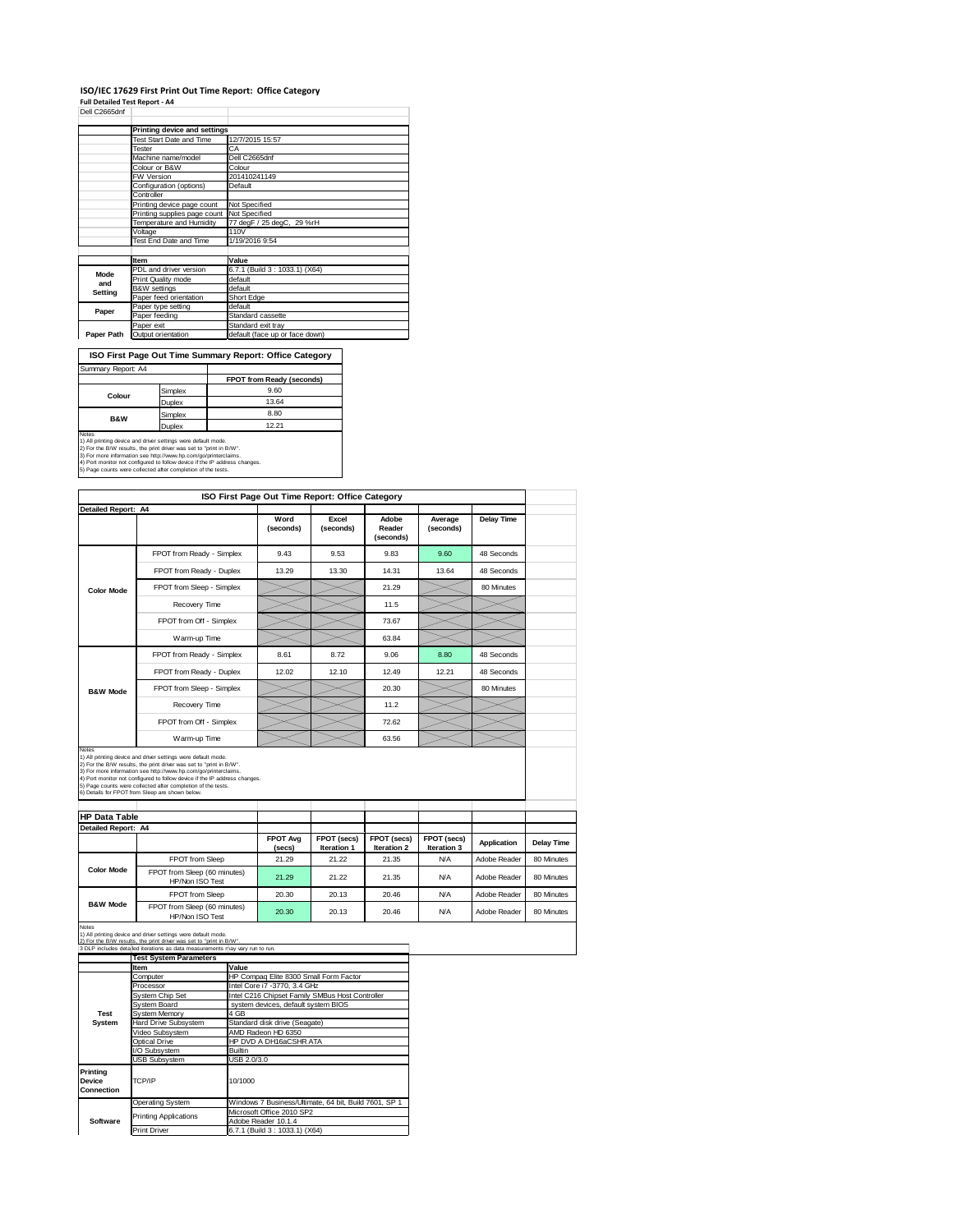#### **ISO/IEC 17629 First Print Out Time Report: Office Category Full Detailed Test Report ‐ A4**

|  | Dell C2665dnf |  |  |
|--|---------------|--|--|

|            | Printing device and settings    |                                |  |  |  |
|------------|---------------------------------|--------------------------------|--|--|--|
|            | <b>Test Start Date and Time</b> | 12/7/2015 15:57                |  |  |  |
|            | Tester                          | СA                             |  |  |  |
|            | Machine name/model              | Dell C2665dnf                  |  |  |  |
|            | Colour or B&W                   | Colour                         |  |  |  |
|            | FW Version                      | 201410241149                   |  |  |  |
|            | Configuration (options)         | Default                        |  |  |  |
|            | Controller                      |                                |  |  |  |
|            | Printing device page count      | Not Specified                  |  |  |  |
|            | Printing supplies page count    | Not Specified                  |  |  |  |
|            | Temperature and Humidity        | 77 degF / 25 degC, 29 %rH      |  |  |  |
|            | Voltage                         | 110V                           |  |  |  |
|            | Test End Date and Time          | 1/19/2016 9:54                 |  |  |  |
|            |                                 |                                |  |  |  |
|            | <b>Item</b>                     | Value                          |  |  |  |
| Mode       | PDL and driver version          | 6.7.1 (Build 3: 1033.1) (X64)  |  |  |  |
| and        | Print Quality mode              | default                        |  |  |  |
| Setting    | <b>B&amp;W</b> settings         | default                        |  |  |  |
|            | Paper feed orientation          | Short Edge                     |  |  |  |
| Paper      | Paper type setting              | default                        |  |  |  |
|            | Paper feeding                   | Standard cassette              |  |  |  |
|            | Paper exit                      | Standard exit tray             |  |  |  |
| Paper Path | Output orientation              | default (face up or face down) |  |  |  |

÷,

**FPOT from Ready (seconds) ISO First Page Out Time Summary Report: Office Category** Summary Report: A4

| Colour                                                                                                                                        | Simplex       | 9.60  |  |  |  |
|-----------------------------------------------------------------------------------------------------------------------------------------------|---------------|-------|--|--|--|
|                                                                                                                                               | <b>Duplex</b> | 13.64 |  |  |  |
| <b>B&amp;W</b>                                                                                                                                | Simplex       | 8.80  |  |  |  |
|                                                                                                                                               | <b>Duplex</b> | 12.21 |  |  |  |
| Notes<br>1) All printing device and driver settings were default mode.<br>2) For the B/W results, the print driver was set to "print in B/W". |               |       |  |  |  |

2) For the B/W results, the print driver was set to "print in B/W".<br>3) For more information see http://www.hp.com/go/printerclaims.<br>4) Port monitor not configured to follow device if the IP address changes.<br>5) Page counts

|                            |                                                                                                                                                                                               |                |                                        | ISO First Page Out Time Report: Office Category |                              |                            |                    |                   |
|----------------------------|-----------------------------------------------------------------------------------------------------------------------------------------------------------------------------------------------|----------------|----------------------------------------|-------------------------------------------------|------------------------------|----------------------------|--------------------|-------------------|
| <b>Detailed Report: A4</b> |                                                                                                                                                                                               |                |                                        |                                                 |                              |                            |                    |                   |
|                            |                                                                                                                                                                                               |                | Word<br>(seconds)                      | Excel<br>(seconds)                              | Adobe<br>Reader<br>(seconds) | Average<br>(seconds)       | <b>Delay Time</b>  |                   |
|                            | FPOT from Ready - Simplex                                                                                                                                                                     |                | 9.43                                   | 9.53                                            | 9.83                         | 9.60                       | 48 Seconds         |                   |
|                            | FPOT from Ready - Duplex                                                                                                                                                                      |                | 13.29                                  | 13.30                                           | 14.31                        | 13.64                      | 48 Seconds         |                   |
| <b>Color Mode</b>          | FPOT from Sleep - Simplex                                                                                                                                                                     |                |                                        |                                                 | 21.29                        |                            | 80 Minutes         |                   |
|                            | Recovery Time                                                                                                                                                                                 |                |                                        |                                                 | 11.5                         |                            |                    |                   |
|                            | FPOT from Off - Simplex                                                                                                                                                                       |                |                                        |                                                 | 73.67                        |                            |                    |                   |
|                            | Warm-up Time                                                                                                                                                                                  |                |                                        |                                                 | 63.84                        |                            |                    |                   |
|                            | FPOT from Ready - Simplex                                                                                                                                                                     |                | 8.61                                   | 8.72                                            | 9.06                         | 8.80                       | 48 Seconds         |                   |
|                            | FPOT from Ready - Duplex                                                                                                                                                                      |                | 12.02                                  | 12.10                                           | 12.49                        | 12.21                      | 48 Seconds         |                   |
| <b>B&amp;W Mode</b>        | FPOT from Sleep - Simplex                                                                                                                                                                     |                |                                        |                                                 | 20.30                        |                            | 80 Minutes         |                   |
|                            | Recovery Time                                                                                                                                                                                 |                |                                        |                                                 | 11.2                         |                            |                    |                   |
|                            | FPOT from Off - Simplex                                                                                                                                                                       |                |                                        |                                                 | 72.62                        |                            |                    |                   |
| Notes                      | Warm-up Time                                                                                                                                                                                  |                |                                        |                                                 | 63.56                        |                            |                    |                   |
|                            | 4) Port monitor not configured to follow device if the IP address changes.<br>5) Page counts were collected after completion of the tests.<br>6) Details for FPOT from Sleep are shown below. |                |                                        |                                                 |                              |                            |                    |                   |
| <b>HP Data Table</b>       |                                                                                                                                                                                               |                |                                        |                                                 |                              |                            |                    |                   |
| Detailed Report: A4        |                                                                                                                                                                                               |                |                                        |                                                 |                              |                            |                    |                   |
|                            |                                                                                                                                                                                               |                | <b>FPOT Avg</b><br>(secs)              | FPOT (secs)<br>Iteration 1                      | FPOT (secs)<br>Iteration 2   | FPOT (secs)<br>Iteration 3 | <b>Application</b> | <b>Delay Time</b> |
|                            | FPOT from Sleep                                                                                                                                                                               |                | 21.29                                  | 21.22                                           | 21.35                        | <b>N/A</b>                 | Adobe Reader       | 80 Minutes        |
| <b>Color Mode</b>          | FPOT from Sleep (60 minutes)<br>HP/Non ISO Test                                                                                                                                               |                | 21.29                                  | 21.22                                           | 21.35                        | <b>N/A</b>                 | Adobe Reader       | 80 Minutes        |
|                            | FPOT from Sleep                                                                                                                                                                               |                | 20.30                                  | 20.13                                           | 20.46                        | <b>N/A</b>                 | Adobe Reader       | 80 Minutes        |
| <b>B&amp;W Mode</b>        | FPOT from Sleep (60 minutes)<br>HP/Non ISO Test                                                                                                                                               |                | 20.30                                  | 20.13                                           | 20.46                        | <b>N/A</b>                 | Adobe Reader       | 80 Minutes        |
| Notes                      | 1) All printing device and driver settings were default mode.                                                                                                                                 |                |                                        |                                                 |                              |                            |                    |                   |
|                            | 2) For the B/W results, the print driver was set to "print in B/W"<br>3 DLP includes deta led iterations as data measurements may vary run to run.                                            |                |                                        |                                                 |                              |                            |                    |                   |
|                            | <b>Test System Parameters</b>                                                                                                                                                                 |                |                                        |                                                 |                              |                            |                    |                   |
|                            | Item                                                                                                                                                                                          | Value          |                                        |                                                 |                              |                            |                    |                   |
|                            | Computer                                                                                                                                                                                      |                | HP Compaq Elite 8300 Small Form Factor |                                                 |                              |                            |                    |                   |
|                            | Processor                                                                                                                                                                                     |                | Intel Core i7 -3770, 3.4 GHz           |                                                 |                              |                            |                    |                   |
|                            | System Chip Set                                                                                                                                                                               |                |                                        | Intel C216 Chipset Family SMBus Host Controller |                              |                            |                    |                   |
|                            | <b>System Board</b>                                                                                                                                                                           |                | system devices, default system BIOS    |                                                 |                              |                            |                    |                   |
| Test                       | System Memory                                                                                                                                                                                 | 4 GB           |                                        |                                                 |                              |                            |                    |                   |
| System                     | Hard Drive Subsystem                                                                                                                                                                          |                | Standard disk drive (Seagate)          |                                                 |                              |                            |                    |                   |
|                            | Video Subsystem                                                                                                                                                                               |                | AMD Radeon HD 6350                     |                                                 |                              |                            |                    |                   |
|                            | Optical Drive                                                                                                                                                                                 |                | HP DVD A DH16aCSHR ATA                 |                                                 |                              |                            |                    |                   |
|                            | /O Subsystem                                                                                                                                                                                  | <b>Builtin</b> |                                        |                                                 |                              |                            |                    |                   |
|                            | USB Subsystem                                                                                                                                                                                 | USB 2.0/3.0    |                                        |                                                 |                              |                            |                    |                   |

Operating System Windows 7 Business/Ultimate, 64 bit, Build 7601, SP 1 Microsoft Office 2010 SP2

Adobe Reader 10.1.4 Print Driver 6.7.1 (Build 3 : 1033.1) (X64)

TCP/IP 10/1000

Printing Applications

**Software**

**Printing Device Connection**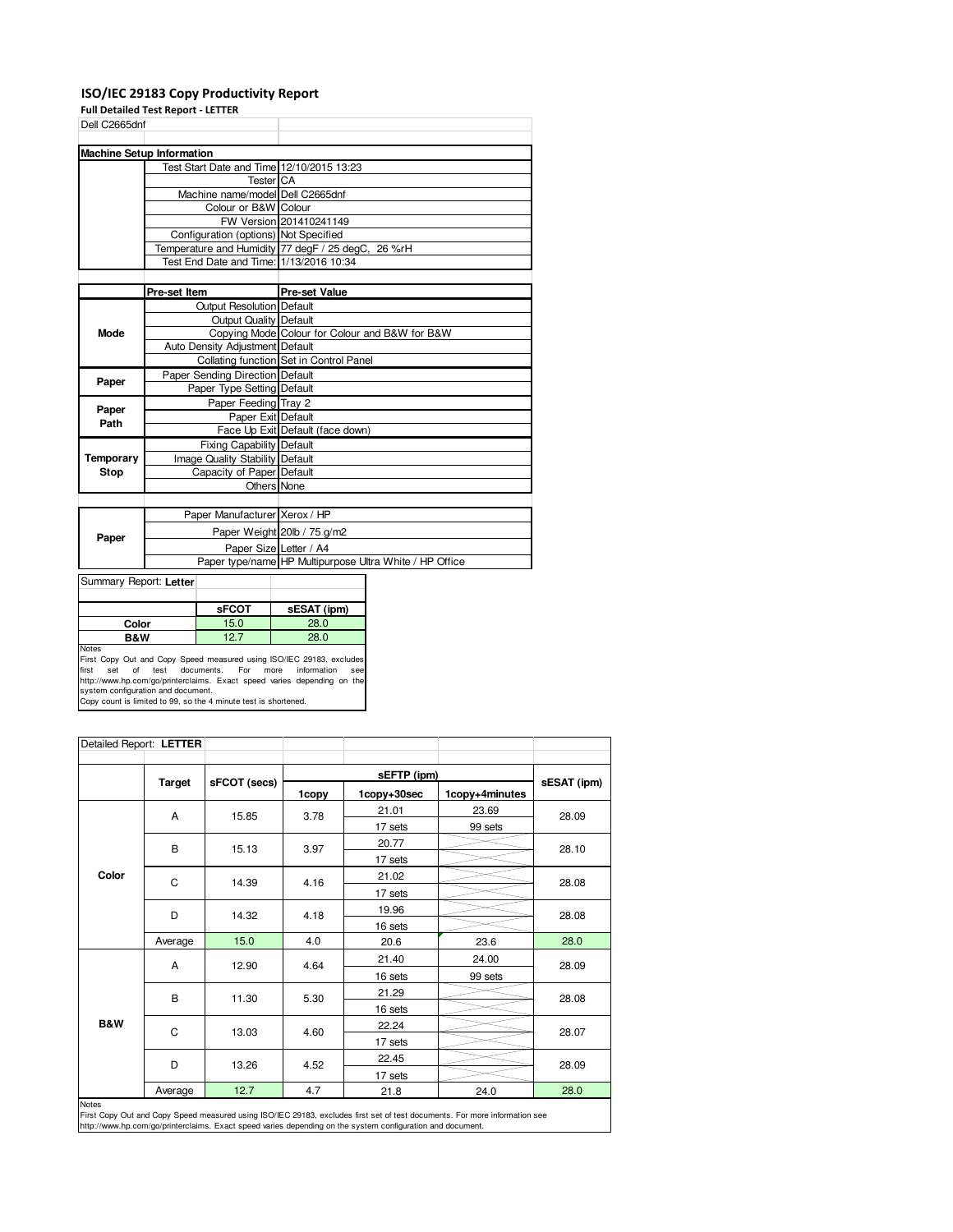### **ISO/IEC 29183 Copy Productivity Report**

**Full Detailed Test Report - LETTER**

| Dell C2665dnf                    |                                                                                                                                                                                                                                                                                                                                                                                                                                                                                                 |
|----------------------------------|-------------------------------------------------------------------------------------------------------------------------------------------------------------------------------------------------------------------------------------------------------------------------------------------------------------------------------------------------------------------------------------------------------------------------------------------------------------------------------------------------|
|                                  |                                                                                                                                                                                                                                                                                                                                                                                                                                                                                                 |
|                                  |                                                                                                                                                                                                                                                                                                                                                                                                                                                                                                 |
|                                  |                                                                                                                                                                                                                                                                                                                                                                                                                                                                                                 |
| <b>Tester</b> CA                 |                                                                                                                                                                                                                                                                                                                                                                                                                                                                                                 |
|                                  |                                                                                                                                                                                                                                                                                                                                                                                                                                                                                                 |
|                                  |                                                                                                                                                                                                                                                                                                                                                                                                                                                                                                 |
|                                  | FW Version 201410241149                                                                                                                                                                                                                                                                                                                                                                                                                                                                         |
|                                  |                                                                                                                                                                                                                                                                                                                                                                                                                                                                                                 |
|                                  |                                                                                                                                                                                                                                                                                                                                                                                                                                                                                                 |
|                                  |                                                                                                                                                                                                                                                                                                                                                                                                                                                                                                 |
|                                  |                                                                                                                                                                                                                                                                                                                                                                                                                                                                                                 |
| Pre-set Item                     | <b>Pre-set Value</b>                                                                                                                                                                                                                                                                                                                                                                                                                                                                            |
| <b>Output Resolution Default</b> |                                                                                                                                                                                                                                                                                                                                                                                                                                                                                                 |
|                                  |                                                                                                                                                                                                                                                                                                                                                                                                                                                                                                 |
|                                  | Copying Mode Colour for Colour and B&W for B&W                                                                                                                                                                                                                                                                                                                                                                                                                                                  |
|                                  |                                                                                                                                                                                                                                                                                                                                                                                                                                                                                                 |
|                                  | Collating function Set in Control Panel                                                                                                                                                                                                                                                                                                                                                                                                                                                         |
|                                  |                                                                                                                                                                                                                                                                                                                                                                                                                                                                                                 |
| Paper Type Setting Default       |                                                                                                                                                                                                                                                                                                                                                                                                                                                                                                 |
| Paper Feeding Tray 2             |                                                                                                                                                                                                                                                                                                                                                                                                                                                                                                 |
|                                  |                                                                                                                                                                                                                                                                                                                                                                                                                                                                                                 |
|                                  | Face Up Exit Default (face down)                                                                                                                                                                                                                                                                                                                                                                                                                                                                |
| <b>Fixing Capability Default</b> |                                                                                                                                                                                                                                                                                                                                                                                                                                                                                                 |
|                                  |                                                                                                                                                                                                                                                                                                                                                                                                                                                                                                 |
|                                  |                                                                                                                                                                                                                                                                                                                                                                                                                                                                                                 |
|                                  |                                                                                                                                                                                                                                                                                                                                                                                                                                                                                                 |
|                                  |                                                                                                                                                                                                                                                                                                                                                                                                                                                                                                 |
| Paper Manufacturer Xerox / HP    |                                                                                                                                                                                                                                                                                                                                                                                                                                                                                                 |
|                                  | Paper Weight 20lb / 75 g/m2                                                                                                                                                                                                                                                                                                                                                                                                                                                                     |
| Paper Size Letter / A4           |                                                                                                                                                                                                                                                                                                                                                                                                                                                                                                 |
|                                  | Paper type/name HP Multipurpose Ultra White / HP Office                                                                                                                                                                                                                                                                                                                                                                                                                                         |
|                                  | <b>Machine Setup Information</b><br>Test Start Date and Time 12/10/2015 13:23<br>Machine name/model Dell C2665dnf<br>Colour or B&W Colour<br>Configuration (options) Not Specified<br>Temperature and Humidity 77 degF / 25 degC, 26 %rH<br>Test End Date and Time: 1/13/2016 10:34<br><b>Output Quality Default</b><br>Auto Density Adjustment Default<br>Paper Sending Direction Default<br>Paper Exit Default<br>Image Quality Stability Default<br>Capacity of Paper Default<br>Others None |

Summary Report: **Letter**

|                                                                     | <b>sFCOT</b> | sESAT (ipm) |
|---------------------------------------------------------------------|--------------|-------------|
| Color                                                               | 15.0         | 28.0        |
| B&W                                                                 | 127          | 28.0        |
| Notes                                                               |              |             |
| First Copy Out and Copy Speed measured using ISO/IEC 29183, exclude |              |             |

First Copy Out and Copy Speed measured using ISO/IEC 29183, excludes<br>first set of test documents. For more information see<br>http://www.hp.com/go/printerclaims. Exact speed varies depending on the<br>system configuration and do

| Detailed Report: LETTER |               |              |       |             |                |             |  |
|-------------------------|---------------|--------------|-------|-------------|----------------|-------------|--|
|                         |               |              |       |             |                |             |  |
|                         | <b>Target</b> | sFCOT (secs) | 1copy | 1copy+30sec | 1copy+4minutes | sESAT (ipm) |  |
|                         | A             | 15.85        | 3.78  | 21.01       | 23.69          | 28.09       |  |
|                         |               |              |       | 17 sets     | 99 sets        |             |  |
|                         | B             | 15.13        | 3.97  | 20.77       |                | 28.10       |  |
|                         |               |              |       | 17 sets     |                |             |  |
| Color                   | C             | 14.39        | 4.16  | 21.02       |                | 28.08       |  |
|                         |               |              |       | 17 sets     |                |             |  |
|                         | D             | 14.32        | 4.18  | 19.96       |                | 28.08       |  |
|                         |               |              |       | 16 sets     |                |             |  |
|                         | Average       | 15.0         | 4.0   | 20.6        | 23.6           | 28.0        |  |
|                         | A             | 12.90        | 4.64  | 21.40       | 24.00          | 28.09       |  |
|                         |               |              |       | 16 sets     | 99 sets        |             |  |
|                         | B             | 11.30        | 5.30  | 21.29       |                | 28.08       |  |
|                         |               |              |       | 16 sets     |                |             |  |
| <b>B&amp;W</b>          | C             | 13.03        | 4.60  | 22.24       |                | 28.07       |  |
|                         |               |              |       | 17 sets     |                |             |  |
|                         | D             | 13.26        | 4.52  | 22.45       |                | 28.09       |  |
|                         |               |              |       | 17 sets     |                |             |  |
|                         | Average       | 12.7         | 4.7   | 21.8        | 24.0           | 28.0        |  |

Average 12.7 4.7 21.8 24.0 28.0<br>Notes<br>First Copy Out and Copy Speed measured using ISO/IEC 29183, excludes first set of test documents. For more information see<br>http://www.hp.com/go/printerclaims. Exact speed varies depend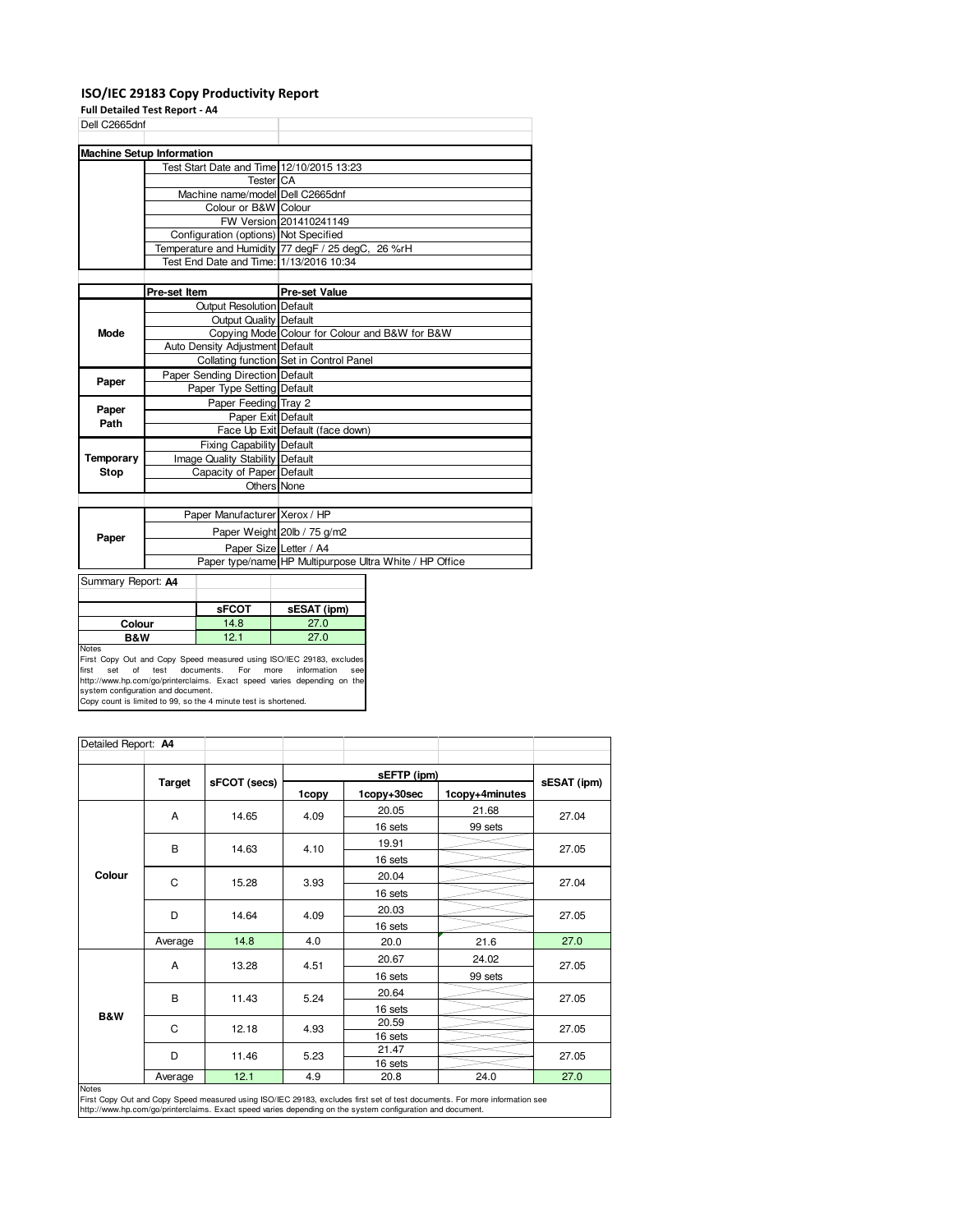### **ISO/IEC 29183 Copy Productivity Report**

**Full Detailed Test Report - A4**

| Dell C2665dnf                    |                                                                                                                                                                                                                                                                                                                                                                                                                                            |
|----------------------------------|--------------------------------------------------------------------------------------------------------------------------------------------------------------------------------------------------------------------------------------------------------------------------------------------------------------------------------------------------------------------------------------------------------------------------------------------|
|                                  |                                                                                                                                                                                                                                                                                                                                                                                                                                            |
|                                  |                                                                                                                                                                                                                                                                                                                                                                                                                                            |
|                                  |                                                                                                                                                                                                                                                                                                                                                                                                                                            |
|                                  |                                                                                                                                                                                                                                                                                                                                                                                                                                            |
|                                  |                                                                                                                                                                                                                                                                                                                                                                                                                                            |
|                                  |                                                                                                                                                                                                                                                                                                                                                                                                                                            |
|                                  |                                                                                                                                                                                                                                                                                                                                                                                                                                            |
|                                  |                                                                                                                                                                                                                                                                                                                                                                                                                                            |
|                                  |                                                                                                                                                                                                                                                                                                                                                                                                                                            |
|                                  |                                                                                                                                                                                                                                                                                                                                                                                                                                            |
|                                  |                                                                                                                                                                                                                                                                                                                                                                                                                                            |
| Pre-set Item                     | <b>Pre-set Value</b>                                                                                                                                                                                                                                                                                                                                                                                                                       |
| <b>Output Resolution Default</b> |                                                                                                                                                                                                                                                                                                                                                                                                                                            |
|                                  |                                                                                                                                                                                                                                                                                                                                                                                                                                            |
|                                  | Copying Mode Colour for Colour and B&W for B&W                                                                                                                                                                                                                                                                                                                                                                                             |
| Auto Density Adjustment Default  |                                                                                                                                                                                                                                                                                                                                                                                                                                            |
|                                  | Collating function Set in Control Panel                                                                                                                                                                                                                                                                                                                                                                                                    |
|                                  |                                                                                                                                                                                                                                                                                                                                                                                                                                            |
|                                  |                                                                                                                                                                                                                                                                                                                                                                                                                                            |
| Paper Feeding Tray 2             |                                                                                                                                                                                                                                                                                                                                                                                                                                            |
| Paper Exit Default               |                                                                                                                                                                                                                                                                                                                                                                                                                                            |
|                                  | Face Up Exit Default (face down)                                                                                                                                                                                                                                                                                                                                                                                                           |
| <b>Fixing Capability Default</b> |                                                                                                                                                                                                                                                                                                                                                                                                                                            |
| Image Quality Stability Default  |                                                                                                                                                                                                                                                                                                                                                                                                                                            |
| Capacity of Paper Default        |                                                                                                                                                                                                                                                                                                                                                                                                                                            |
| Others None                      |                                                                                                                                                                                                                                                                                                                                                                                                                                            |
|                                  |                                                                                                                                                                                                                                                                                                                                                                                                                                            |
| Paper Manufacturer Xerox / HP    |                                                                                                                                                                                                                                                                                                                                                                                                                                            |
|                                  | Paper Weight 20lb / 75 g/m2                                                                                                                                                                                                                                                                                                                                                                                                                |
| Paper Size Letter / A4           |                                                                                                                                                                                                                                                                                                                                                                                                                                            |
|                                  | Paper type/name HP Multipurpose Ultra White / HP Office                                                                                                                                                                                                                                                                                                                                                                                    |
|                                  | <b>Machine Setup Information</b><br>Test Start Date and Time 12/10/2015 13:23<br>Tester <sup>I</sup> CA<br>Machine name/model Dell C2665dnf<br>Colour or B&W Colour<br>FW Version 201410241149<br>Configuration (options) Not Specified<br>Temperature and Humidity 77 degF / 25 degC, 26 %rH<br>Test End Date and Time: 1/13/2016 10:34<br><b>Output Quality Default</b><br>Paper Sending Direction Default<br>Paper Type Setting Default |

| Summary Report: A4 |              |             |
|--------------------|--------------|-------------|
|                    |              |             |
|                    | <b>SFCOT</b> | sESAT (ipm) |
| Colour             | 14.8         | 27.0        |
| <b>B&amp;W</b>     | 12.1         | 27.0        |
| <b>Notes</b>       |              |             |

Notes<br>First Copy Out and Copy Speed measured using ISO/IEC 29183, excludes<br>first set of test documents. For more information see<br>http://www.hp.com/go/printerclaims. Exact speed varies depending on the<br>system configuration

| Detailed Report: A4 |               |              |              |             |                |             |
|---------------------|---------------|--------------|--------------|-------------|----------------|-------------|
|                     |               | sFCOT (secs) |              |             |                |             |
|                     | <b>Target</b> |              | 1copy        | 1copy+30sec | 1copy+4minutes | sESAT (ipm) |
|                     | A             | 14.65        | 4.09         | 20.05       | 21.68          | 27.04       |
|                     |               |              |              | 16 sets     | 99 sets        |             |
|                     | B             | 14.63        | 4.10         | 19.91       |                |             |
|                     |               |              |              | 16 sets     |                | 27.05       |
| Colour              | C             | 15.28        | 3.93         | 20.04       |                | 27.04       |
|                     |               |              |              | 16 sets     |                |             |
|                     |               | 14.64        | 4.09         | 20.03       |                | 27.05       |
|                     | D             |              |              | 16 sets     |                |             |
|                     | Average       | 14.8         | 4.0          | 20.0        | 21.6           | 27.0        |
|                     | Α             | 13.28        | 4.51         | 20.67       | 24.02          | 27.05       |
|                     |               |              |              | 16 sets     | 99 sets        |             |
|                     | B             |              | 5.24         | 20.64       |                | 27.05       |
|                     |               | 11.43        |              | 16 sets     |                |             |
| B&W                 | C             | 12.18        | 4.93<br>5.23 | 20.59       |                | 27.05       |
|                     |               |              |              | 16 sets     |                |             |
|                     | D             | 11.46        |              | 21.47       |                | 27.05       |
|                     |               |              |              | 16 sets     |                |             |
| <b>Notes</b>        | Average       | 12.1         | 4.9          | 20.8        | 24.0           | 27.0        |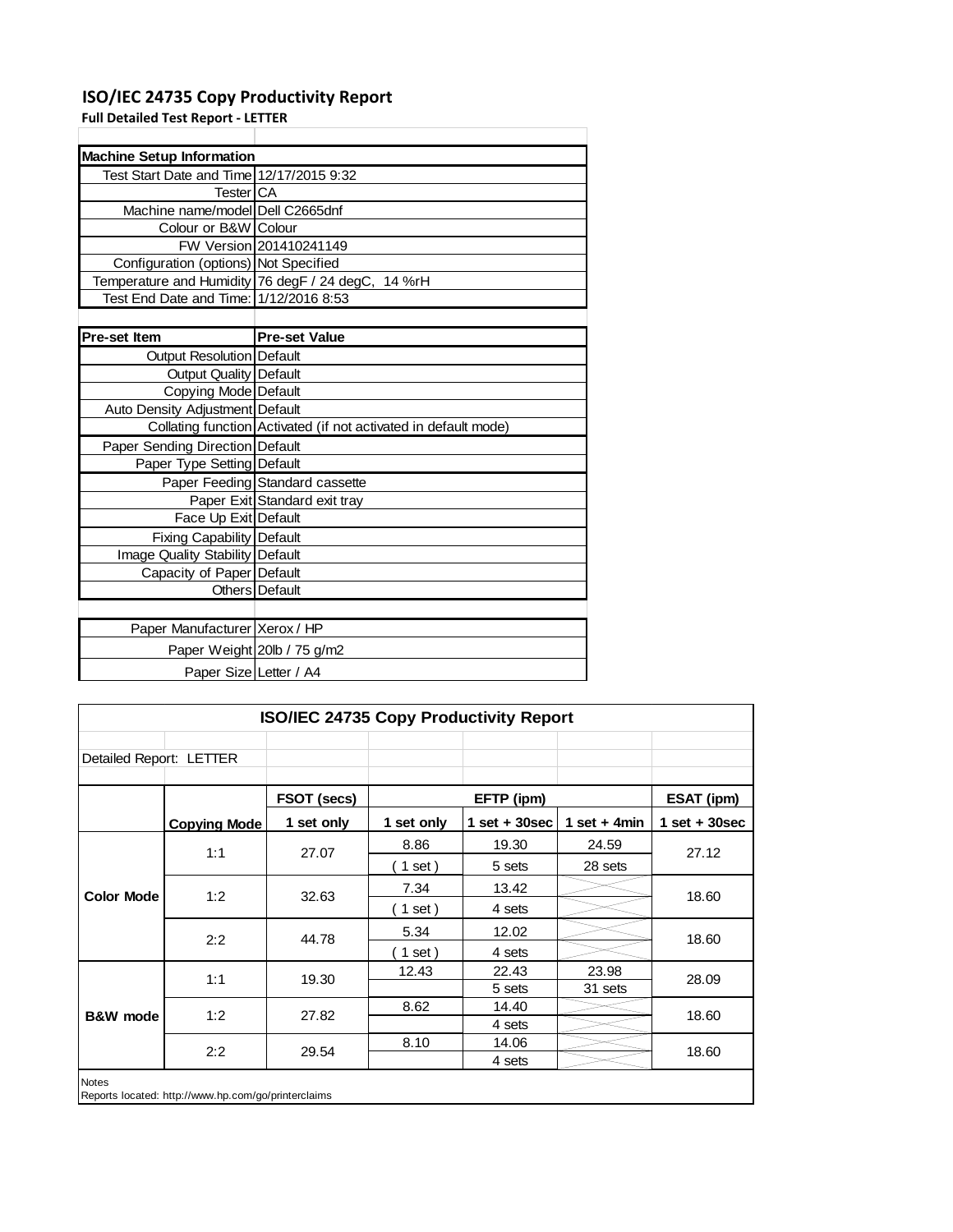## **ISO/IEC 24735 Copy Productivity Report**

Paper Size Letter / A4

**Full Detailed Test Report ‐ LETTER**

| <b>Machine Setup Information</b>         |                                                                 |
|------------------------------------------|-----------------------------------------------------------------|
| Test Start Date and Time 12/17/2015 9:32 |                                                                 |
| <b>Tester</b> CA                         |                                                                 |
| Machine name/model Dell C2665dnf         |                                                                 |
| Colour or B&W Colour                     |                                                                 |
|                                          | FW Version 201410241149                                         |
| Configuration (options) Not Specified    |                                                                 |
|                                          | Temperature and Humidity 76 degF / 24 degC, 14 %rH              |
| Test End Date and Time: 1/12/2016 8:53   |                                                                 |
|                                          |                                                                 |
| <b>Pre-set Item</b>                      | <b>Pre-set Value</b>                                            |
| <b>Output Resolution Default</b>         |                                                                 |
| Output Quality Default                   |                                                                 |
| Copying Mode Default                     |                                                                 |
| Auto Density Adjustment Default          |                                                                 |
|                                          | Collating function Activated (if not activated in default mode) |
| Paper Sending Direction Default          |                                                                 |
| Paper Type Setting Default               |                                                                 |
|                                          | Paper Feeding Standard cassette                                 |
|                                          | Paper Exit Standard exit tray                                   |
| Face Up Exit Default                     |                                                                 |
| <b>Fixing Capability Default</b>         |                                                                 |
| <b>Image Quality Stability Default</b>   |                                                                 |
| Capacity of Paper Default                |                                                                 |
|                                          | <b>Others</b> Default                                           |
|                                          |                                                                 |
| Paper Manufacturer Xerox / HP            |                                                                 |
|                                          | Paper Weight 20lb / 75 g/m2                                     |

| ISO/IEC 24735 Copy Productivity Report                              |                     |             |            |                   |                |                   |       |       |
|---------------------------------------------------------------------|---------------------|-------------|------------|-------------------|----------------|-------------------|-------|-------|
| Detailed Report: LETTER                                             |                     |             |            |                   |                |                   |       |       |
|                                                                     |                     | FSOT (secs) |            | EFTP (ipm)        |                | <b>ESAT (ipm)</b> |       |       |
|                                                                     | <b>Copying Mode</b> | 1 set only  | 1 set only | $1$ set $+30$ sec | 1 set $+$ 4min | 1 set $+30$ sec   |       |       |
|                                                                     | 1:1                 | 27.07       | 8.86       | 19.30             | 24.59          | 27.12             |       |       |
|                                                                     |                     |             | $1$ set)   | 5 sets            | 28 sets        |                   |       |       |
| <b>Color Mode</b>                                                   | 1:2                 | 32.63       | 7.34       | 13.42             |                | 18.60             |       |       |
|                                                                     |                     |             | 1 set)     | 4 sets            |                |                   |       |       |
|                                                                     | 2:2                 | 44.78       | 5.34       | 12.02             |                | 18.60             |       |       |
|                                                                     |                     |             | 1 set)     | 4 sets            |                |                   |       |       |
|                                                                     | 1:1                 |             |            | 19.30             | 12.43          | 22.43             | 23.98 | 28.09 |
|                                                                     |                     |             |            | 5 sets            | 31 sets        |                   |       |       |
| <b>B&amp;W</b> mode                                                 | 1:2                 | 27.82       | 8.62       | 14.40             |                | 18.60<br>18.60    |       |       |
|                                                                     |                     |             |            | 4 sets            |                |                   |       |       |
|                                                                     | 2:2                 | 29.54       | 8.10       | 14.06             |                |                   |       |       |
|                                                                     |                     |             |            | 4 sets            |                |                   |       |       |
| <b>Notes</b><br>Reports located: http://www.hp.com/go/printerclaims |                     |             |            |                   |                |                   |       |       |